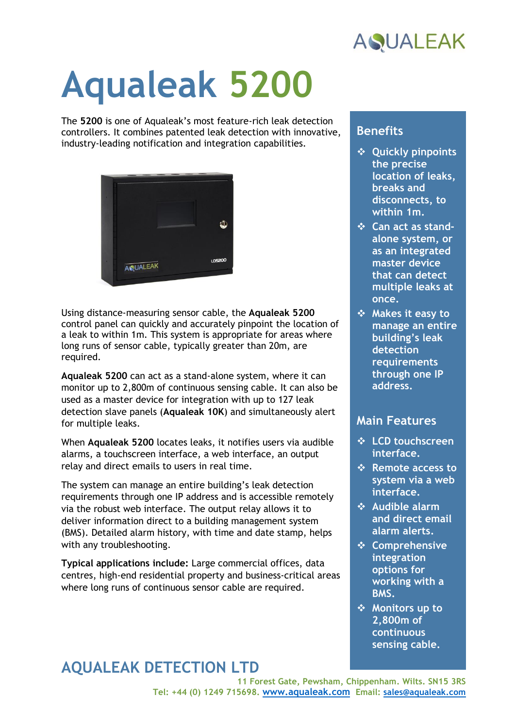

# **Aqualeak 5200**

The **5200** is one of Aqualeak's most feature-rich leak detection controllers. It combines patented leak detection with innovative, industry-leading notification and integration capabilities.



Using distance-measuring sensor cable, the **Aqualeak 5200** control panel can quickly and accurately pinpoint the location of a leak to within 1m. This system is appropriate for areas where long runs of sensor cable, typically greater than 20m, are required.

**Aqualeak 5200** can act as a stand-alone system, where it can monitor up to 2,800m of continuous sensing cable. It can also be used as a master device for integration with up to 127 leak detection slave panels (**Aqualeak 10K**) and simultaneously alert for multiple leaks.

When **Aqualeak 5200** locates leaks, it notifies users via audible alarms, a touchscreen interface, a web interface, an output relay and direct emails to users in real time.

The system can manage an entire building's leak detection requirements through one IP address and is accessible remotely via the robust web interface. The output relay allows it to deliver information direct to a building management system (BMS). Detailed alarm history, with time and date stamp, helps with any troubleshooting.

**Typical applications include:** Large commercial offices, data centres, high-end residential property and business-critical areas where long runs of continuous sensor cable are required.

### **Benefits**

- ❖ **Quickly pinpoints the precise location of leaks, breaks and disconnects, to within 1m.**
- ❖ **Can act as standalone system, or as an integrated master device that can detect multiple leaks at once.**
- ❖ **Makes it easy to manage an entire building's leak detection requirements through one IP address.**

#### **Main Features**

- ❖ **LCD touchscreen interface.**
- ❖ **Remote access to system via a web interface.**
- ❖ **Audible alarm and direct email alarm alerts.**
- ❖ **Comprehensive integration options for working with a BMS.**
- ❖ **Monitors up to 2,800m of continuous sensing cable.**

## **AQUALEAK DETECTION LTD**

**11 Forest Gate, Pewsham, Chippenham. Wilts. SN15 3RS Tel: +44 (0) 1249 715698. [www.aqualeak.com](http://www.aqualeak.com/) Email: [sales@aqualeak.com](mailto:sales@aqualeak.com)**